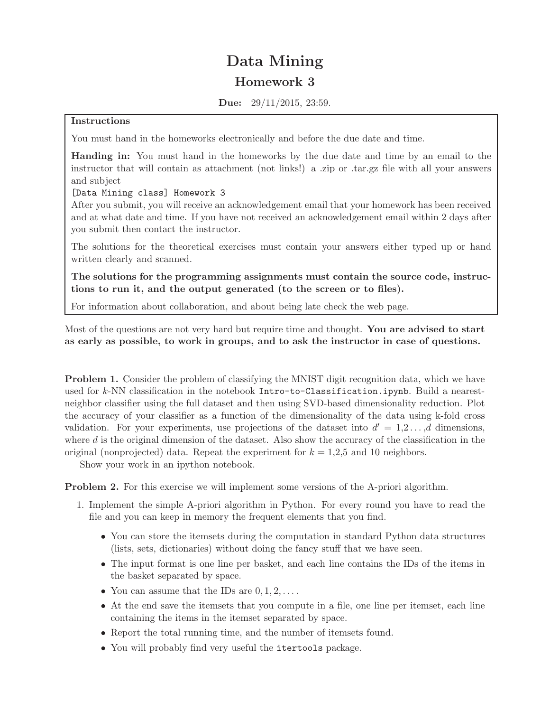## Data Mining Homework 3

Due: 29/11/2015, 23:59.

## Instructions

You must hand in the homeworks electronically and before the due date and time.

Handing in: You must hand in the homeworks by the due date and time by an email to the instructor that will contain as attachment (not links!) a .zip or .tar.gz file with all your answers and subject

[Data Mining class] Homework 3

After you submit, you will receive an acknowledgement email that your homework has been received and at what date and time. If you have not received an acknowledgement email within 2 days after you submit then contact the instructor.

The solutions for the theoretical exercises must contain your answers either typed up or hand written clearly and scanned.

The solutions for the programming assignments must contain the source code, instructions to run it, and the output generated (to the screen or to files).

For information about collaboration, and about being late check the web page.

Most of the questions are not very hard but require time and thought. You are advised to start as early as possible, to work in groups, and to ask the instructor in case of questions.

Problem 1. Consider the problem of classifying the MNIST digit recognition data, which we have used for  $k$ -NN classification in the notebook Intro-to-Classification.ipynb. Build a nearestneighbor classifier using the full dataset and then using SVD-based dimensionality reduction. Plot the accuracy of your classifier as a function of the dimensionality of the data using k-fold cross validation. For your experiments, use projections of the dataset into  $d' = 1, 2, \ldots, d$  dimensions, where  $d$  is the original dimension of the dataset. Also show the accuracy of the classification in the original (nonprojected) data. Repeat the experiment for  $k = 1,2,5$  and 10 neighbors.

Show your work in an ipython notebook.

Problem 2. For this exercise we will implement some versions of the A-priori algorithm.

- 1. Implement the simple A-priori algorithm in Python. For every round you have to read the file and you can keep in memory the frequent elements that you find.
	- You can store the itemsets during the computation in standard Python data structures (lists, sets, dictionaries) without doing the fancy stuff that we have seen.
	- The input format is one line per basket, and each line contains the IDs of the items in the basket separated by space.
	- You can assume that the IDs are  $0, 1, 2, \ldots$ .
	- At the end save the itemsets that you compute in a file, one line per itemset, each line containing the items in the itemset separated by space.
	- Report the total running time, and the number of itemsets found.
	- You will probably find very useful the itertools package.